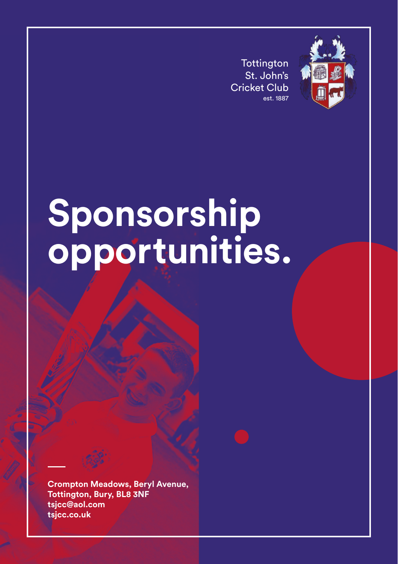**Tottington** St. John's Cricket Club est. 1887



## **Sponsorship opportunities.**

**Crompton Meadows, Beryl Avenue, Tottington, Bury, BL8 3NF tsjcc@aol.com tsjcc.co.uk**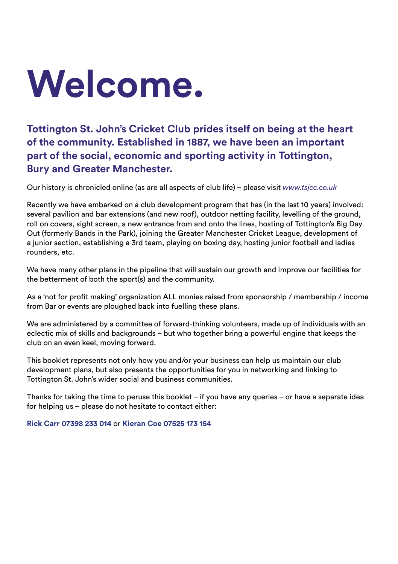# **Welcome.**

**Tottington St. John's Cricket Club prides itself on being at the heart of the community. Established in 1887, we have been an important part of the social, economic and sporting activity in Tottington, Bury and Greater Manchester.**

Our history is chronicled online (as are all aspects of club life) – please visit *www.tsjcc.co.uk*

Recently we have embarked on a club development program that has (in the last 10 years) involved: several pavilion and bar extensions (and new roof), outdoor netting facility, levelling of the ground, roll on covers, sight screen, a new entrance from and onto the lines, hosting of Tottington's Big Day Out (formerly Bands in the Park), joining the Greater Manchester Cricket League, development of a junior section, establishing a 3rd team, playing on boxing day, hosting junior football and ladies rounders, etc.

We have many other plans in the pipeline that will sustain our growth and improve our facilities for the betterment of both the sport(s) and the community.

As a 'not for profit making' organization ALL monies raised from sponsorship / membership / income from Bar or events are ploughed back into fuelling these plans.

We are administered by a committee of forward-thinking volunteers, made up of individuals with an eclectic mix of skills and backgrounds – but who together bring a powerful engine that keeps the club on an even keel, moving forward.

This booklet represents not only how you and/or your business can help us maintain our club development plans, but also presents the opportunities for you in networking and linking to Tottington St. John's wider social and business communities.

Thanks for taking the time to peruse this booklet – if you have any queries – or have a separate idea for helping us – please do not hesitate to contact either:

**Rick Carr 07398 233 014** or **Kieran Coe 07525 173 154**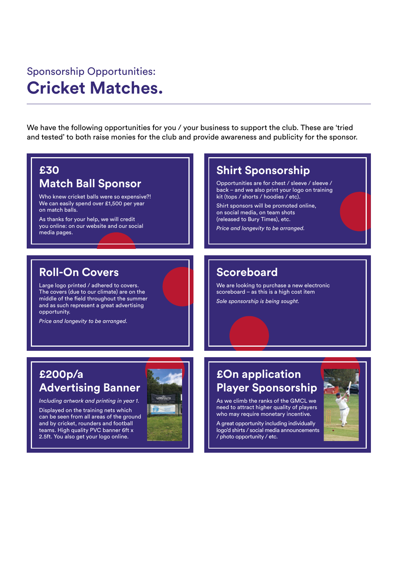## Sponsorship Opportunities: **Cricket Matches.**

We have the following opportunities for you / your business to support the club. These are 'tried and tested' to both raise monies for the club and provide awareness and publicity for the sponsor.

#### **£30**

#### **Match Ball Sponsor**

Who knew cricket balls were so expensive?! We can easily spend over £1,500 per year on match balls.

As thanks for your help, we will credit you online: on our website and our social media pages.

#### **Roll-On Covers**

Large logo printed / adhered to covers. The covers (due to our climate) are on the middle of the field throughout the summer and as such represent a great advertising opportunity.

*Price and longevity to be arranged.*

## **Advertising Banner**

*Including artwork and printing in year 1.*

Displayed on the training nets which can be seen from all areas of the ground and by cricket, rounders and football teams. High quality PVC banner 6ft x 2.5ft. You also get your logo online.



#### **Shirt Sponsorship**

Opportunities are for chest / sleeve / sleeve / back – and we also print your logo on training kit (tops / shorts / hoodies / etc).

Shirt sponsors will be promoted online, on social media, on team shots (released to Bury Times), etc.

*Price and longevity to be arranged.*

#### **Scoreboard**

We are looking to purchase a new electronic scoreboard – as this is a high cost item *Sole sponsorship is being sought.*

#### **Player Sponsorship £200p/a £On application**

As we climb the ranks of the GMCL we need to attract higher quality of players who may require monetary incentive.

A great opportunity including individually logo'd shirts / social media announcements / photo opportunity / etc.